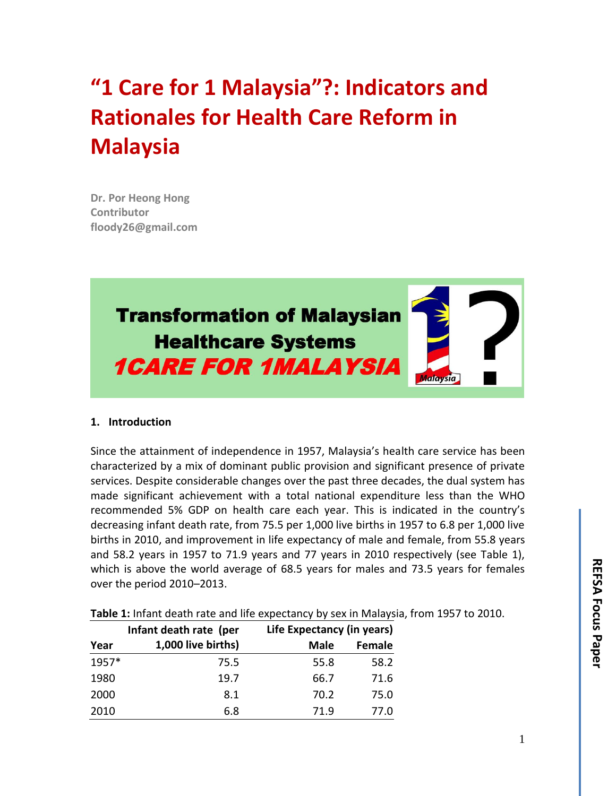# **"1 Care for 1 Malaysia"?: Indicators and Rationales for Health Care Reform in Malaysia**

**Dr. Por Heong Hong Contributor [floody26@gmail.com](mailto:floody26@gmail.com)**



### **1. Introduction**

Since the attainment of independence in 1957, Malaysia's health care service has been characterized by a mix of dominant public provision and significant presence of private services. Despite considerable changes over the past three decades, the dual system has made significant achievement with a total national expenditure less than the WHO recommended 5% GDP on health care each year. This is indicated in the country's decreasing infant death rate, from 75.5 per 1,000 live births in 1957 to 6.8 per 1,000 live births in 2010, and improvement in life expectancy of male and female, from 55.8 years and 58.2 years in 1957 to 71.9 years and 77 years in 2010 respectively (see Table 1), which is above the world average of 68.5 years for males and 73.5 years for females over the period 2010–2013.

|  |  | Table 1: Infant death rate and life expectancy by sex in Malaysia, from 1957 to 2010. |  |  |  |  |
|--|--|---------------------------------------------------------------------------------------|--|--|--|--|
|  |  |                                                                                       |  |  |  |  |

|       | Infant death rate (per | Life Expectancy (in years) |        |
|-------|------------------------|----------------------------|--------|
| Year  | 1,000 live births)     | <b>Male</b>                | Female |
| 1957* | 75.5                   | 55.8                       | 58.2   |
| 1980  | 19.7                   | 66.7                       | 71.6   |
| 2000  | 8.1                    | 70.2                       | 75.0   |
| 2010  | 6.8                    | 71.9                       | 77.0   |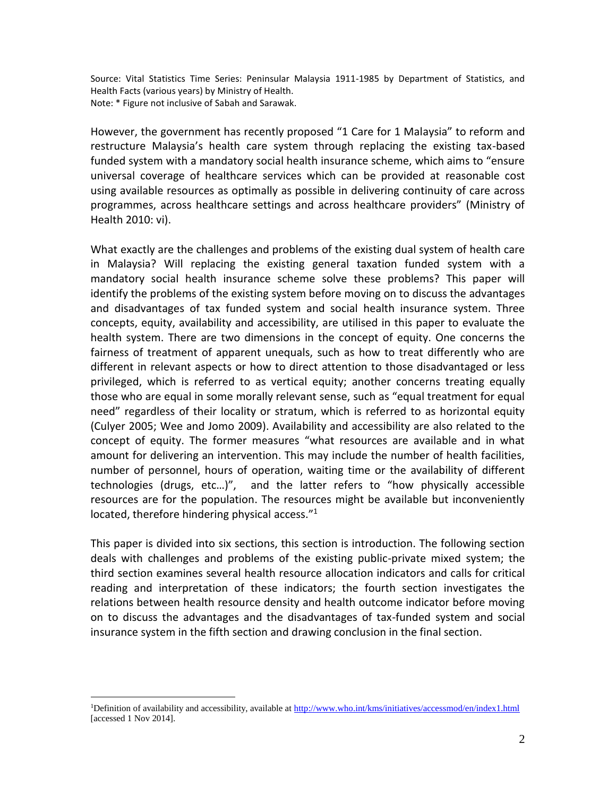Source: Vital Statistics Time Series: Peninsular Malaysia 1911-1985 by Department of Statistics, and Health Facts (various years) by Ministry of Health. Note: \* Figure not inclusive of Sabah and Sarawak.

However, the government has recently proposed "1 Care for 1 Malaysia" to reform and restructure Malaysia's health care system through replacing the existing tax-based funded system with a mandatory social health insurance scheme, which aims to "ensure universal coverage of healthcare services which can be provided at reasonable cost using available resources as optimally as possible in delivering continuity of care across programmes, across healthcare settings and across healthcare providers" (Ministry of Health 2010: vi).

What exactly are the challenges and problems of the existing dual system of health care in Malaysia? Will replacing the existing general taxation funded system with a mandatory social health insurance scheme solve these problems? This paper will identify the problems of the existing system before moving on to discuss the advantages and disadvantages of tax funded system and social health insurance system. Three concepts, equity, availability and accessibility, are utilised in this paper to evaluate the health system. There are two dimensions in the concept of equity. One concerns the fairness of treatment of apparent unequals, such as how to treat differently who are different in relevant aspects or how to direct attention to those disadvantaged or less privileged, which is referred to as vertical equity; another concerns treating equally those who are equal in some morally relevant sense, such as "equal treatment for equal need" regardless of their locality or stratum, which is referred to as horizontal equity (Culyer 2005; Wee and Jomo 2009). Availability and accessibility are also related to the concept of equity. The former measures "what resources are available and in what amount for delivering an intervention. This may include the number of health facilities, number of personnel, hours of operation, waiting time or the availability of different technologies (drugs, etc…)", and the latter refers to "how physically accessible resources are for the population. The resources might be available but inconveniently located, therefore hindering physical access."<sup>1</sup>

This paper is divided into six sections, this section is introduction. The following section deals with challenges and problems of the existing public-private mixed system; the third section examines several health resource allocation indicators and calls for critical reading and interpretation of these indicators; the fourth section investigates the relations between health resource density and health outcome indicator before moving on to discuss the advantages and the disadvantages of tax-funded system and social insurance system in the fifth section and drawing conclusion in the final section.

 $\overline{a}$ 

<sup>&</sup>lt;sup>1</sup>Definition of availability and accessibility, available at<http://www.who.int/kms/initiatives/accessmod/en/index1.html> [accessed 1 Nov 2014].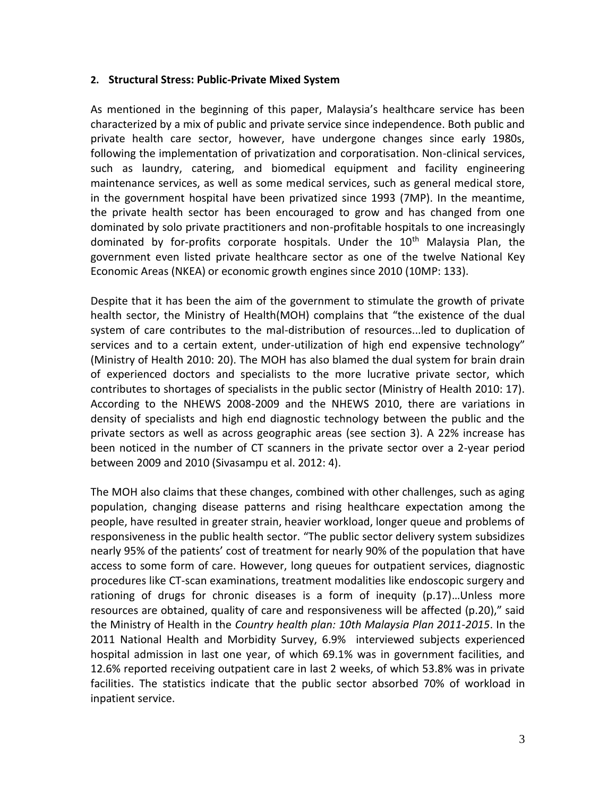### **2. Structural Stress: Public-Private Mixed System**

As mentioned in the beginning of this paper, Malaysia's healthcare service has been characterized by a mix of public and private service since independence. Both public and private health care sector, however, have undergone changes since early 1980s, following the implementation of privatization and corporatisation. Non-clinical services, such as laundry, catering, and biomedical equipment and facility engineering maintenance services, as well as some medical services, such as general medical store, in the government hospital have been privatized since 1993 (7MP). In the meantime, the private health sector has been encouraged to grow and has changed from one dominated by solo private practitioners and non-profitable hospitals to one increasingly dominated by for-profits corporate hospitals. Under the 10<sup>th</sup> Malaysia Plan, the government even listed private healthcare sector as one of the twelve National Key Economic Areas (NKEA) or economic growth engines since 2010 (10MP: 133).

Despite that it has been the aim of the government to stimulate the growth of private health sector, the Ministry of Health(MOH) complains that "the existence of the dual system of care contributes to the mal-distribution of resources...led to duplication of services and to a certain extent, under-utilization of high end expensive technology" (Ministry of Health 2010: 20). The MOH has also blamed the dual system for brain drain of experienced doctors and specialists to the more lucrative private sector, which contributes to shortages of specialists in the public sector (Ministry of Health 2010: 17). According to the NHEWS 2008-2009 and the NHEWS 2010, there are variations in density of specialists and high end diagnostic technology between the public and the private sectors as well as across geographic areas (see section 3). A 22% increase has been noticed in the number of CT scanners in the private sector over a 2-year period between 2009 and 2010 (Sivasampu et al. 2012: 4).

The MOH also claims that these changes, combined with other challenges, such as aging population, changing disease patterns and rising healthcare expectation among the people, have resulted in greater strain, heavier workload, longer queue and problems of responsiveness in the public health sector. "The public sector delivery system subsidizes nearly 95% of the patients' cost of treatment for nearly 90% of the population that have access to some form of care. However, long queues for outpatient services, diagnostic procedures like CT-scan examinations, treatment modalities like endoscopic surgery and rationing of drugs for chronic diseases is a form of inequity (p.17)…Unless more resources are obtained, quality of care and responsiveness will be affected (p.20)," said the Ministry of Health in the *Country health plan: 10th Malaysia Plan 2011-2015*. In the 2011 National Health and Morbidity Survey, 6.9% interviewed subjects experienced hospital admission in last one year, of which 69.1% was in government facilities, and 12.6% reported receiving outpatient care in last 2 weeks, of which 53.8% was in private facilities. The statistics indicate that the public sector absorbed 70% of workload in inpatient service.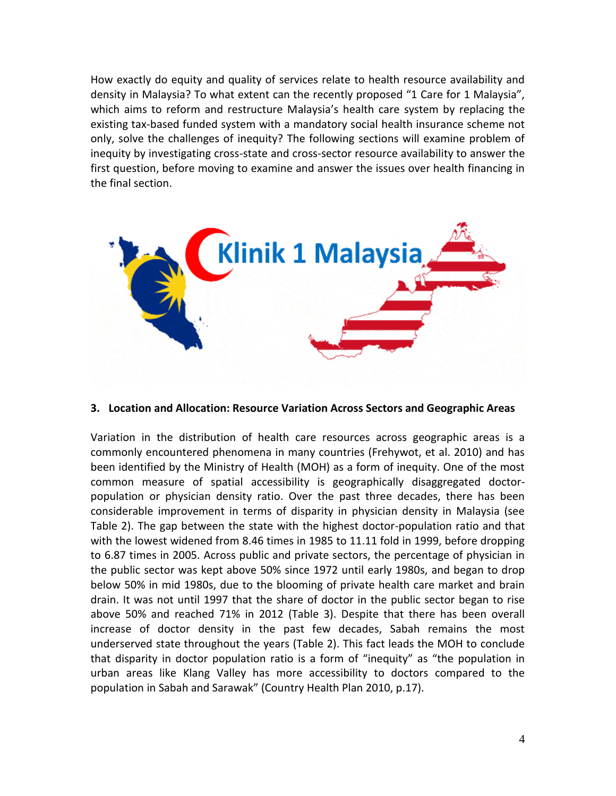How exactly do equity and quality of services relate to health resource availability and density in Malaysia? To what extent can the recently proposed "1 Care for 1 Malaysia", which aims to reform and restructure Malaysia's health care system by replacing the existing tax-based funded system with a mandatory social health insurance scheme not only, solve the challenges of inequity? The following sections will examine problem of inequity by investigating cross-state and cross-sector resource availability to answer the first question, before moving to examine and answer the issues over health financing in the final section.



### **3. Location and Allocation: Resource Variation Across Sectors and Geographic Areas**

Variation in the distribution of health care resources across geographic areas is a commonly encountered phenomena in many countries (Frehywot, et al. 2010) and has been identified by the Ministry of Health (MOH) as a form of inequity. One of the most common measure of spatial accessibility is geographically disaggregated doctorpopulation or physician density ratio. Over the past three decades, there has been considerable improvement in terms of disparity in physician density in Malaysia (see Table 2). The gap between the state with the highest doctor-population ratio and that with the lowest widened from 8.46 times in 1985 to 11.11 fold in 1999, before dropping to 6.87 times in 2005. Across public and private sectors, the percentage of physician in the public sector was kept above 50% since 1972 until early 1980s, and began to drop below 50% in mid 1980s, due to the blooming of private health care market and brain drain. It was not until 1997 that the share of doctor in the public sector began to rise above 50% and reached 71% in 2012 (Table 3). Despite that there has been overall increase of doctor density in the past few decades, Sabah remains the most underserved state throughout the years (Table 2). This fact leads the MOH to conclude that disparity in doctor population ratio is a form of "inequity" as "the population in urban areas like Klang Valley has more accessibility to doctors compared to the population in Sabah and Sarawak" (Country Health Plan 2010, p.17).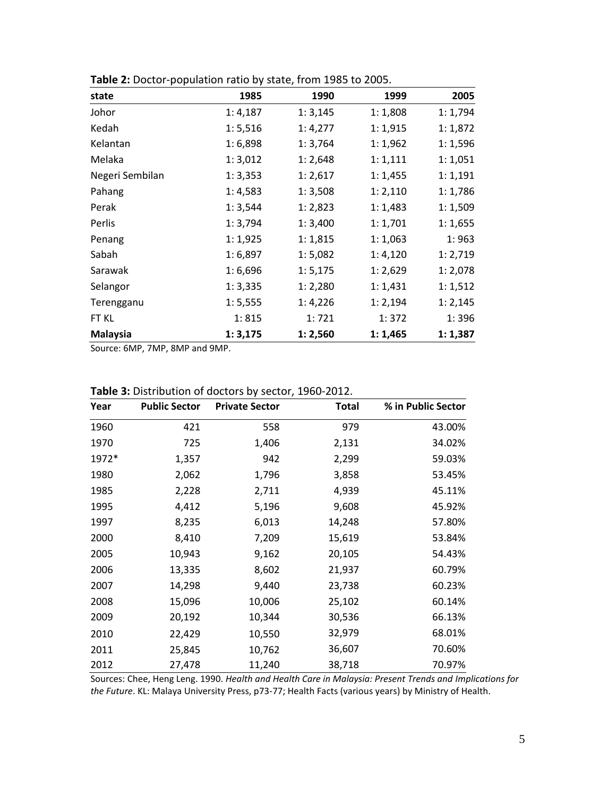| state           | 1985     | 1990     | 1999     | 2005     |
|-----------------|----------|----------|----------|----------|
| Johor           | 1:4,187  | 1:3,145  | 1:1,808  | 1:1,794  |
| Kedah           | 1:5,516  | 1:4,277  | 1:1,915  | 1:1,872  |
| Kelantan        | 1:6,898  | 1:3,764  | 1:1,962  | 1:1,596  |
| Melaka          | 1:3,012  | 1:2,648  | 1:1,111  | 1:1,051  |
| Negeri Sembilan | 1: 3,353 | 1:2,617  | 1:1,455  | 1:1,191  |
| Pahang          | 1: 4,583 | 1:3,508  | 1:2,110  | 1:1,786  |
| Perak           | 1: 3,544 | 1:2,823  | 1:1,483  | 1:1,509  |
| Perlis          | 1:3,794  | 1:3,400  | 1:1,701  | 1:1,655  |
| Penang          | 1:1,925  | 1:1,815  | 1:1,063  | 1:963    |
| Sabah           | 1:6,897  | 1:5,082  | 1:4,120  | 1: 2,719 |
| Sarawak         | 1:6,696  | 1:5,175  | 1:2,629  | 1:2,078  |
| Selangor        | 1:3,335  | 1:2,280  | 1:1,431  | 1:1,512  |
| Terengganu      | 1: 5,555 | 1:4,226  | 1: 2,194 | 1: 2,145 |
| FT KL           | 1:815    | 1:721    | 1:372    | 1:396    |
| <b>Malaysia</b> | 1:3,175  | 1: 2,560 | 1:1,465  | 1:1,387  |

**Table 2:** Doctor-population ratio by state, from 1985 to 2005.

Source: 6MP, 7MP, 8MP and 9MP.

| Year  | <b>Public Sector</b> | <b>Private Sector</b> | Total  | % in Public Sector |
|-------|----------------------|-----------------------|--------|--------------------|
| 1960  | 421                  | 558                   | 979    | 43.00%             |
| 1970  | 725                  | 1,406                 | 2,131  | 34.02%             |
| 1972* | 1,357                | 942                   | 2,299  | 59.03%             |
| 1980  | 2,062                | 1,796                 | 3,858  | 53.45%             |
| 1985  | 2,228                | 2,711                 | 4,939  | 45.11%             |
| 1995  | 4,412                | 5,196                 | 9,608  | 45.92%             |
| 1997  | 8,235                | 6,013                 | 14,248 | 57.80%             |
| 2000  | 8,410                | 7,209                 | 15,619 | 53.84%             |
| 2005  | 10,943               | 9,162                 | 20,105 | 54.43%             |
| 2006  | 13,335               | 8,602                 | 21,937 | 60.79%             |
| 2007  | 14,298               | 9,440                 | 23,738 | 60.23%             |
| 2008  | 15,096               | 10,006                | 25,102 | 60.14%             |
| 2009  | 20,192               | 10,344                | 30,536 | 66.13%             |
| 2010  | 22,429               | 10,550                | 32,979 | 68.01%             |
| 2011  | 25,845               | 10,762                | 36,607 | 70.60%             |
| 2012  | 27,478               | 11,240                | 38,718 | 70.97%             |

| Table 3: Distribution of doctors by sector, 1960-2012. |  |  |  |
|--------------------------------------------------------|--|--|--|
|--------------------------------------------------------|--|--|--|

Sources: Chee, Heng Leng. 1990. *Health and Health Care in Malaysia: Present Trends and Implications for the Future*. KL: Malaya University Press, p73-77; Health Facts (various years) by Ministry of Health.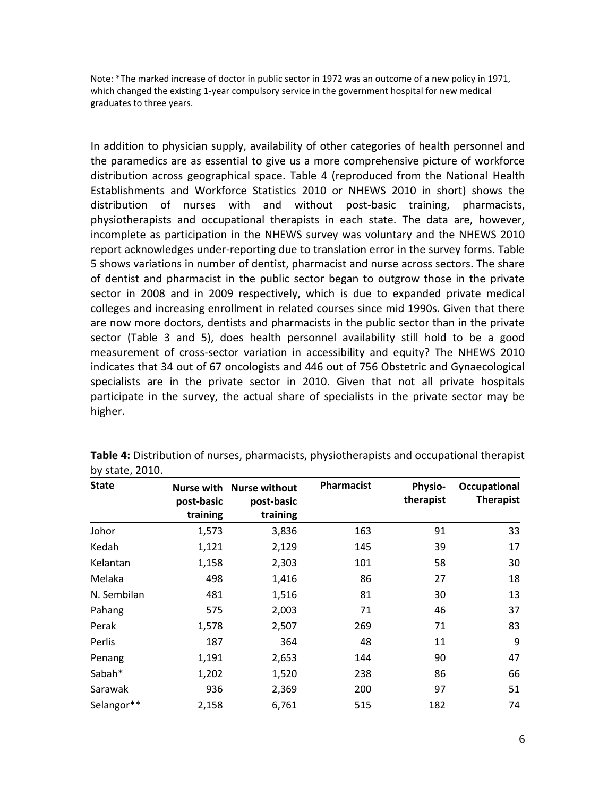Note: \*The marked increase of doctor in public sector in 1972 was an outcome of a new policy in 1971, which changed the existing 1-year compulsory service in the government hospital for new medical graduates to three years.

In addition to physician supply, availability of other categories of health personnel and the paramedics are as essential to give us a more comprehensive picture of workforce distribution across geographical space. Table 4 (reproduced from the National Health Establishments and Workforce Statistics 2010 or NHEWS 2010 in short) shows the distribution of nurses with and without post-basic training, pharmacists, physiotherapists and occupational therapists in each state. The data are, however, incomplete as participation in the NHEWS survey was voluntary and the NHEWS 2010 report acknowledges under-reporting due to translation error in the survey forms. Table 5 shows variations in number of dentist, pharmacist and nurse across sectors. The share of dentist and pharmacist in the public sector began to outgrow those in the private sector in 2008 and in 2009 respectively, which is due to expanded private medical colleges and increasing enrollment in related courses since mid 1990s. Given that there are now more doctors, dentists and pharmacists in the public sector than in the private sector (Table 3 and 5), does health personnel availability still hold to be a good measurement of cross-sector variation in accessibility and equity? The NHEWS 2010 indicates that 34 out of 67 oncologists and 446 out of 756 Obstetric and Gynaecological specialists are in the private sector in 2010. Given that not all private hospitals participate in the survey, the actual share of specialists in the private sector may be higher.

| <b>State</b> | post-basic<br>training | Nurse with Nurse without<br>post-basic<br>training | <b>Pharmacist</b> | <b>Physio-</b><br>therapist | Occupational<br><b>Therapist</b> |
|--------------|------------------------|----------------------------------------------------|-------------------|-----------------------------|----------------------------------|
| Johor        | 1,573                  | 3,836                                              | 163               | 91                          | 33                               |
| Kedah        | 1,121                  | 2,129                                              | 145               | 39                          | 17                               |
| Kelantan     | 1,158                  | 2,303                                              | 101               | 58                          | 30                               |
| Melaka       | 498                    | 1,416                                              | 86                | 27                          | 18                               |
| N. Sembilan  | 481                    | 1,516                                              | 81                | 30                          | 13                               |
| Pahang       | 575                    | 2,003                                              | 71                | 46                          | 37                               |
| Perak        | 1,578                  | 2,507                                              | 269               | 71                          | 83                               |
| Perlis       | 187                    | 364                                                | 48                | 11                          | 9                                |
| Penang       | 1,191                  | 2,653                                              | 144               | 90                          | 47                               |
| Sabah*       | 1,202                  | 1,520                                              | 238               | 86                          | 66                               |
| Sarawak      | 936                    | 2,369                                              | 200               | 97                          | 51                               |
| Selangor**   | 2,158                  | 6,761                                              | 515               | 182                         | 74                               |

| <b>Table 4:</b> Distribution of nurses, pharmacists, physiotherapists and occupational therapist |  |  |
|--------------------------------------------------------------------------------------------------|--|--|
| by state, 2010.                                                                                  |  |  |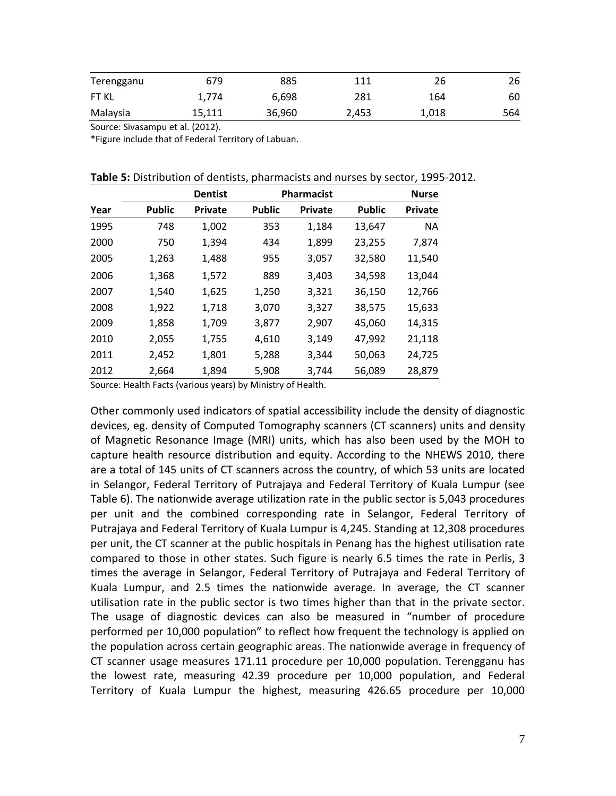| Terengganu | 679    | 885    | 111   | 26    | 26  |
|------------|--------|--------|-------|-------|-----|
| FT KL      | 1.774  | 6,698  | 281   | 164   | 60  |
| Malaysia   | 15,111 | 36,960 | 2,453 | 1,018 | 564 |

Source: Sivasampu et al. (2012).

\*Figure include that of Federal Territory of Labuan.

| Table 5: Distribution of dentists, pharmacists and nurses by sector, 1995-2012. |  |  |  |  |
|---------------------------------------------------------------------------------|--|--|--|--|
|---------------------------------------------------------------------------------|--|--|--|--|

|      |               | <b>Dentist</b> |               | <b>Pharmacist</b> |               | <b>Nurse</b>   |
|------|---------------|----------------|---------------|-------------------|---------------|----------------|
| Year | <b>Public</b> | <b>Private</b> | <b>Public</b> | <b>Private</b>    | <b>Public</b> | <b>Private</b> |
| 1995 | 748           | 1,002          | 353           | 1,184             | 13,647        | <b>NA</b>      |
| 2000 | 750           | 1,394          | 434           | 1,899             | 23,255        | 7,874          |
| 2005 | 1,263         | 1,488          | 955           | 3,057             | 32,580        | 11,540         |
| 2006 | 1,368         | 1,572          | 889           | 3,403             | 34,598        | 13,044         |
| 2007 | 1,540         | 1,625          | 1,250         | 3,321             | 36,150        | 12,766         |
| 2008 | 1,922         | 1,718          | 3,070         | 3,327             | 38,575        | 15,633         |
| 2009 | 1,858         | 1,709          | 3,877         | 2,907             | 45,060        | 14,315         |
| 2010 | 2,055         | 1,755          | 4,610         | 3,149             | 47,992        | 21,118         |
| 2011 | 2,452         | 1,801          | 5,288         | 3,344             | 50,063        | 24,725         |
| 2012 | 2,664         | 1,894          | 5,908         | 3,744             | 56,089        | 28,879         |

Source: Health Facts (various years) by Ministry of Health.

Other commonly used indicators of spatial accessibility include the density of diagnostic devices, eg. density of Computed Tomography scanners (CT scanners) units and density of Magnetic Resonance Image (MRI) units, which has also been used by the MOH to capture health resource distribution and equity. According to the NHEWS 2010, there are a total of 145 units of CT scanners across the country, of which 53 units are located in Selangor, Federal Territory of Putrajaya and Federal Territory of Kuala Lumpur (see Table 6). The nationwide average utilization rate in the public sector is 5,043 procedures per unit and the combined corresponding rate in Selangor, Federal Territory of Putrajaya and Federal Territory of Kuala Lumpur is 4,245. Standing at 12,308 procedures per unit, the CT scanner at the public hospitals in Penang has the highest utilisation rate compared to those in other states. Such figure is nearly 6.5 times the rate in Perlis, 3 times the average in Selangor, Federal Territory of Putrajaya and Federal Territory of Kuala Lumpur, and 2.5 times the nationwide average. In average, the CT scanner utilisation rate in the public sector is two times higher than that in the private sector. The usage of diagnostic devices can also be measured in "number of procedure performed per 10,000 population" to reflect how frequent the technology is applied on the population across certain geographic areas. The nationwide average in frequency of CT scanner usage measures 171.11 procedure per 10,000 population. Terengganu has the lowest rate, measuring 42.39 procedure per 10,000 population, and Federal Territory of Kuala Lumpur the highest, measuring 426.65 procedure per 10,000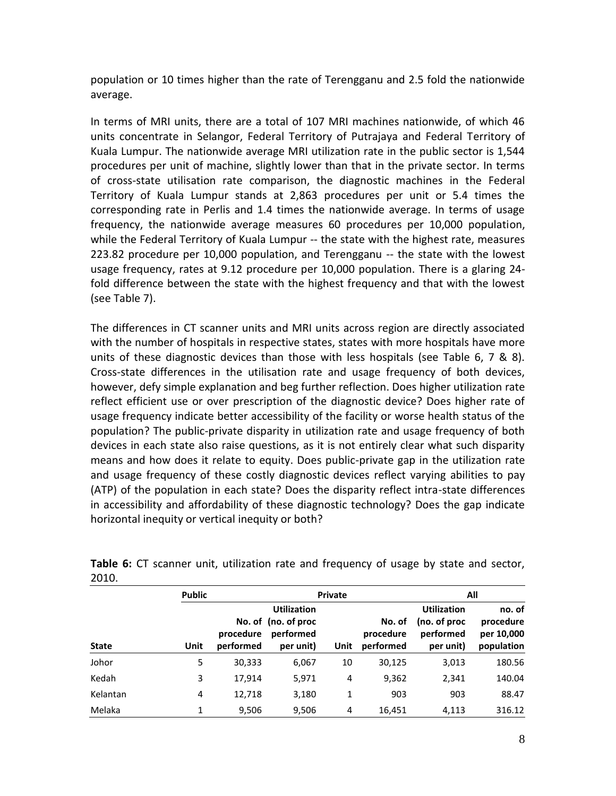population or 10 times higher than the rate of Terengganu and 2.5 fold the nationwide average.

In terms of MRI units, there are a total of 107 MRI machines nationwide, of which 46 units concentrate in Selangor, Federal Territory of Putrajaya and Federal Territory of Kuala Lumpur. The nationwide average MRI utilization rate in the public sector is 1,544 procedures per unit of machine, slightly lower than that in the private sector. In terms of cross-state utilisation rate comparison, the diagnostic machines in the Federal Territory of Kuala Lumpur stands at 2,863 procedures per unit or 5.4 times the corresponding rate in Perlis and 1.4 times the nationwide average. In terms of usage frequency, the nationwide average measures 60 procedures per 10,000 population, while the Federal Territory of Kuala Lumpur -- the state with the highest rate, measures 223.82 procedure per 10,000 population, and Terengganu -- the state with the lowest usage frequency, rates at 9.12 procedure per 10,000 population. There is a glaring 24 fold difference between the state with the highest frequency and that with the lowest (see Table 7).

The differences in CT scanner units and MRI units across region are directly associated with the number of hospitals in respective states, states with more hospitals have more units of these diagnostic devices than those with less hospitals (see Table 6, 7 & 8). Cross-state differences in the utilisation rate and usage frequency of both devices, however, defy simple explanation and beg further reflection. Does higher utilization rate reflect efficient use or over prescription of the diagnostic device? Does higher rate of usage frequency indicate better accessibility of the facility or worse health status of the population? The public-private disparity in utilization rate and usage frequency of both devices in each state also raise questions, as it is not entirely clear what such disparity means and how does it relate to equity. Does public-private gap in the utilization rate and usage frequency of these costly diagnostic devices reflect varying abilities to pay (ATP) of the population in each state? Does the disparity reflect intra-state differences in accessibility and affordability of these diagnostic technology? Does the gap indicate horizontal inequity or vertical inequity or both?

|              | <b>Public</b> |                        |                                                                     | <b>Private</b> | All                              |                                                              |                                                 |
|--------------|---------------|------------------------|---------------------------------------------------------------------|----------------|----------------------------------|--------------------------------------------------------------|-------------------------------------------------|
| <b>State</b> | Unit          | procedure<br>performed | <b>Utilization</b><br>No. of (no. of proc<br>performed<br>per unit) | Unit           | No. of<br>procedure<br>performed | <b>Utilization</b><br>(no. of proc<br>performed<br>per unit) | no. of<br>procedure<br>per 10,000<br>population |
| Johor        | 5             | 30,333                 | 6,067                                                               | 10             | 30,125                           | 3,013                                                        | 180.56                                          |
| Kedah        | 3             | 17,914                 | 5,971                                                               | 4              | 9,362                            | 2,341                                                        | 140.04                                          |
| Kelantan     | 4             | 12,718                 | 3,180                                                               | 1              | 903                              | 903                                                          | 88.47                                           |
| Melaka       | 1             | 9.506                  | 9,506                                                               | 4              | 16,451                           | 4,113                                                        | 316.12                                          |

Table 6: CT scanner unit, utilization rate and frequency of usage by state and sector, 2010.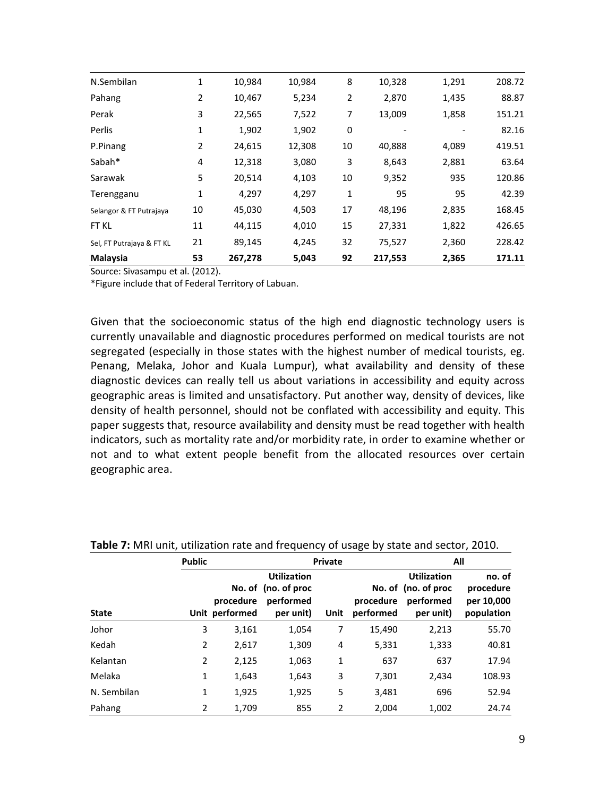| N.Sembilan                | 1              | 10,984  | 10,984 | 8  | 10,328  | 1,291 | 208.72 |
|---------------------------|----------------|---------|--------|----|---------|-------|--------|
| Pahang                    | $\overline{2}$ | 10,467  | 5,234  | 2  | 2,870   | 1,435 | 88.87  |
| Perak                     | 3              | 22,565  | 7,522  | 7  | 13,009  | 1,858 | 151.21 |
| Perlis                    | 1              | 1,902   | 1,902  | 0  |         |       | 82.16  |
| P.Pinang                  | $\overline{2}$ | 24,615  | 12,308 | 10 | 40,888  | 4,089 | 419.51 |
| Sabah*                    | 4              | 12,318  | 3,080  | 3  | 8,643   | 2,881 | 63.64  |
| Sarawak                   | 5              | 20,514  | 4,103  | 10 | 9,352   | 935   | 120.86 |
| Terengganu                | 1              | 4,297   | 4,297  | 1  | 95      | 95    | 42.39  |
| Selangor & FT Putrajaya   | 10             | 45,030  | 4,503  | 17 | 48,196  | 2,835 | 168.45 |
| FT KL                     | 11             | 44,115  | 4,010  | 15 | 27,331  | 1,822 | 426.65 |
| Sel, FT Putrajaya & FT KL | 21             | 89,145  | 4,245  | 32 | 75,527  | 2,360 | 228.42 |
| Malaysia                  | 53             | 267,278 | 5,043  | 92 | 217,553 | 2,365 | 171.11 |

Source: Sivasampu et al. (2012).

\*Figure include that of Federal Territory of Labuan.

Given that the socioeconomic status of the high end diagnostic technology users is currently unavailable and diagnostic procedures performed on medical tourists are not segregated (especially in those states with the highest number of medical tourists, eg. Penang, Melaka, Johor and Kuala Lumpur), what availability and density of these diagnostic devices can really tell us about variations in accessibility and equity across geographic areas is limited and unsatisfactory. Put another way, density of devices, like density of health personnel, should not be conflated with accessibility and equity. This paper suggests that, resource availability and density must be read together with health indicators, such as mortality rate and/or morbidity rate, in order to examine whether or not and to what extent people benefit from the allocated resources over certain geographic area.

|              | <b>Public</b> |                             |                                                                     | <b>Private</b> |                        | All                                                                 |                                                 |  |  |
|--------------|---------------|-----------------------------|---------------------------------------------------------------------|----------------|------------------------|---------------------------------------------------------------------|-------------------------------------------------|--|--|
| <b>State</b> |               | procedure<br>Unit performed | <b>Utilization</b><br>No. of (no. of proc<br>performed<br>per unit) | Unit           | procedure<br>performed | <b>Utilization</b><br>No. of (no. of proc<br>performed<br>per unit) | no. of<br>procedure<br>per 10,000<br>population |  |  |
| Johor        | 3             | 3,161                       | 1,054                                                               | 7              | 15,490                 | 2,213                                                               | 55.70                                           |  |  |
| Kedah        | 2             | 2,617                       | 1,309                                                               | 4              | 5,331                  | 1,333                                                               | 40.81                                           |  |  |
| Kelantan     | 2             | 2,125                       | 1,063                                                               | 1              | 637                    | 637                                                                 | 17.94                                           |  |  |
| Melaka       | 1             | 1,643                       | 1,643                                                               | 3              | 7,301                  | 2,434                                                               | 108.93                                          |  |  |
| N. Sembilan  | 1             | 1,925                       | 1,925                                                               | 5              | 3,481                  | 696                                                                 | 52.94                                           |  |  |
| Pahang       | 2             | 1,709                       | 855                                                                 | $\overline{2}$ | 2,004                  | 1,002                                                               | 24.74                                           |  |  |

**Table 7:** MRI unit, utilization rate and frequency of usage by state and sector, 2010.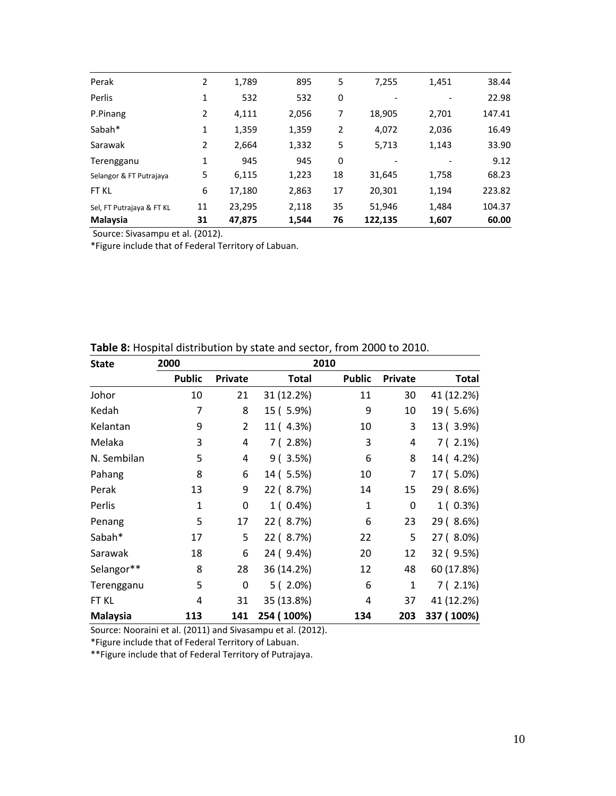| Perak                     | 2  | 1,789  | 895   | 5  | 7,255   | 1,451 | 38.44  |
|---------------------------|----|--------|-------|----|---------|-------|--------|
| Perlis                    | 1  | 532    | 532   | 0  |         |       | 22.98  |
| P.Pinang                  | 2  | 4,111  | 2,056 | 7  | 18,905  | 2,701 | 147.41 |
| Sabah*                    | 1  | 1,359  | 1,359 | 2  | 4,072   | 2,036 | 16.49  |
| Sarawak                   | 2  | 2,664  | 1,332 | 5  | 5,713   | 1,143 | 33.90  |
| Terengganu                | 1  | 945    | 945   | 0  |         |       | 9.12   |
| Selangor & FT Putrajaya   | 5  | 6,115  | 1,223 | 18 | 31,645  | 1,758 | 68.23  |
| FT KL                     | 6  | 17,180 | 2,863 | 17 | 20,301  | 1,194 | 223.82 |
| Sel, FT Putrajaya & FT KL | 11 | 23,295 | 2,118 | 35 | 51,946  | 1,484 | 104.37 |
| <b>Malaysia</b>           | 31 | 47,875 | 1,544 | 76 | 122,135 | 1,607 | 60.00  |

Source: Sivasampu et al. (2012).

\*Figure include that of Federal Territory of Labuan.

| <b>State</b>    | 2000          |                | 2010         |               |              |              |
|-----------------|---------------|----------------|--------------|---------------|--------------|--------------|
|                 | <b>Public</b> | Private        | <b>Total</b> | <b>Public</b> | Private      | <b>Total</b> |
| Johor           | 10            | 21             | 31 (12.2%)   | 11            | 30           | 41 (12.2%)   |
| Kedah           | 7             | 8              | 15 ( 5.9%)   | 9             | 10           | 19 ( 5.6%)   |
| Kelantan        | 9             | $\overline{2}$ | 11 (4.3%)    | 10            | 3            | 13 (3.9%)    |
| Melaka          | 3             | 4              | 7(2.8%)      | 3             | 4            | $7(2.1\%)$   |
| N. Sembilan     | 5             | 4              | 9(3.5%)      | 6             | 8            | 14 (4.2%)    |
| Pahang          | 8             | 6              | 14 (5.5%)    | 10            | 7            | 17 (5.0%)    |
| Perak           | 13            | 9              | 22 (8.7%)    | 14            | 15           | 29 (8.6%)    |
| Perlis          | $\mathbf{1}$  | 0              | $1(0.4\%)$   | $\mathbf{1}$  | $\mathbf 0$  | $1(0.3\%)$   |
| Penang          | 5             | 17             | 22 (8.7%)    | 6             | 23           | 29 (8.6%)    |
| Sabah*          | 17            | 5              | 22 (8.7%)    | 22            | 5            | 27 (8.0%)    |
| Sarawak         | 18            | 6              | 24 ( 9.4%)   | 20            | 12           | 32 (9.5%)    |
| Selangor**      | 8             | 28             | 36 (14.2%)   | 12            | 48           | 60 (17.8%)   |
| Terengganu      | 5             | 0              | $5(2.0\%)$   | 6             | $\mathbf{1}$ | $7(2.1\%)$   |
| FT KL           | 4             | 31             | 35 (13.8%)   | 4             | 37           | 41 (12.2%)   |
| <b>Malaysia</b> | 113           | 141            | 254 (100%)   | 134           | 203          | 337 (100%)   |

#### **Table 8:** Hospital distribution by state and sector, from 2000 to 2010.

Source: Nooraini et al. (2011) and Sivasampu et al. (2012).

\*Figure include that of Federal Territory of Labuan.

\*\*Figure include that of Federal Territory of Putrajaya.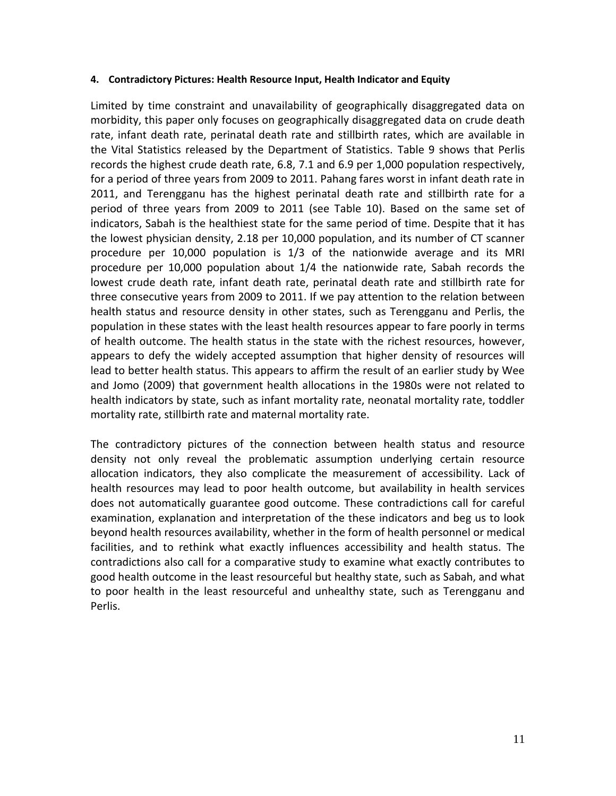### **4. Contradictory Pictures: Health Resource Input, Health Indicator and Equity**

Limited by time constraint and unavailability of geographically disaggregated data on morbidity, this paper only focuses on geographically disaggregated data on crude death rate, infant death rate, perinatal death rate and stillbirth rates, which are available in the Vital Statistics released by the Department of Statistics. Table 9 shows that Perlis records the highest crude death rate, 6.8, 7.1 and 6.9 per 1,000 population respectively, for a period of three years from 2009 to 2011. Pahang fares worst in infant death rate in 2011, and Terengganu has the highest perinatal death rate and stillbirth rate for a period of three years from 2009 to 2011 (see Table 10). Based on the same set of indicators, Sabah is the healthiest state for the same period of time. Despite that it has the lowest physician density, 2.18 per 10,000 population, and its number of CT scanner procedure per 10,000 population is 1/3 of the nationwide average and its MRI procedure per 10,000 population about 1/4 the nationwide rate, Sabah records the lowest crude death rate, infant death rate, perinatal death rate and stillbirth rate for three consecutive years from 2009 to 2011. If we pay attention to the relation between health status and resource density in other states, such as Terengganu and Perlis, the population in these states with the least health resources appear to fare poorly in terms of health outcome. The health status in the state with the richest resources, however, appears to defy the widely accepted assumption that higher density of resources will lead to better health status. This appears to affirm the result of an earlier study by Wee and Jomo (2009) that government health allocations in the 1980s were not related to health indicators by state, such as infant mortality rate, neonatal mortality rate, toddler mortality rate, stillbirth rate and maternal mortality rate.

The contradictory pictures of the connection between health status and resource density not only reveal the problematic assumption underlying certain resource allocation indicators, they also complicate the measurement of accessibility. Lack of health resources may lead to poor health outcome, but availability in health services does not automatically guarantee good outcome. These contradictions call for careful examination, explanation and interpretation of the these indicators and beg us to look beyond health resources availability, whether in the form of health personnel or medical facilities, and to rethink what exactly influences accessibility and health status. The contradictions also call for a comparative study to examine what exactly contributes to good health outcome in the least resourceful but healthy state, such as Sabah, and what to poor health in the least resourceful and unhealthy state, such as Terengganu and Perlis.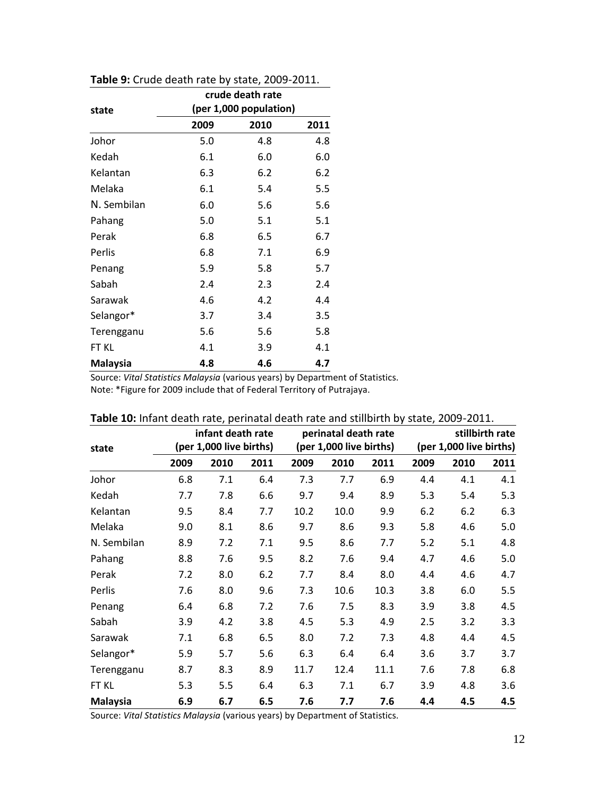|                 |      | crude death rate       |      |
|-----------------|------|------------------------|------|
| state           |      | (per 1,000 population) |      |
|                 | 2009 | 2010                   | 2011 |
| Johor           | 5.0  | 4.8                    | 4.8  |
| Kedah           | 6.1  | 6.0                    | 6.0  |
| Kelantan        | 6.3  | 6.2                    | 6.2  |
| Melaka          | 6.1  | 5.4                    | 5.5  |
| N. Sembilan     | 6.0  | 5.6                    | 5.6  |
| Pahang          | 5.0  | 5.1                    | 5.1  |
| Perak           | 6.8  | 6.5                    | 6.7  |
| Perlis          | 6.8  | 7.1                    | 6.9  |
| Penang          | 5.9  | 5.8                    | 5.7  |
| Sabah           | 2.4  | 2.3                    | 2.4  |
| Sarawak         | 4.6  | 4.2                    | 4.4  |
| Selangor*       | 3.7  | 3.4                    | 3.5  |
| Terengganu      | 5.6  | 5.6                    | 5.8  |
| FT KL           | 4.1  | 3.9                    | 4.1  |
| <b>Malaysia</b> | 4.8  | 4.6                    | 4.7  |

**Table 9:** Crude death rate by state, 2009-2011.

Source: *Vital Statistics Malaysia* (various years) by Department of Statistics. Note: \*Figure for 2009 include that of Federal Territory of Putrajaya.

|                 |      | infant death rate       |      |      | perinatal death rate    |      | stillbirth rate |                         |      |  |  |
|-----------------|------|-------------------------|------|------|-------------------------|------|-----------------|-------------------------|------|--|--|
| state           |      | (per 1,000 live births) |      |      | (per 1,000 live births) |      |                 | (per 1,000 live births) |      |  |  |
|                 | 2009 | 2010                    | 2011 | 2009 | 2010                    | 2011 | 2009            | 2010                    | 2011 |  |  |
| Johor           | 6.8  | 7.1                     | 6.4  | 7.3  | 7.7                     | 6.9  | 4.4             | 4.1                     | 4.1  |  |  |
| Kedah           | 7.7  | 7.8                     | 6.6  | 9.7  | 9.4                     | 8.9  | 5.3             | 5.4                     | 5.3  |  |  |
| Kelantan        | 9.5  | 8.4                     | 7.7  | 10.2 | 10.0                    | 9.9  | 6.2             | 6.2                     | 6.3  |  |  |
| Melaka          | 9.0  | 8.1                     | 8.6  | 9.7  | 8.6                     | 9.3  | 5.8             | 4.6                     | 5.0  |  |  |
| N. Sembilan     | 8.9  | 7.2                     | 7.1  | 9.5  | 8.6                     | 7.7  | 5.2             | 5.1                     | 4.8  |  |  |
| Pahang          | 8.8  | 7.6                     | 9.5  | 8.2  | 7.6                     | 9.4  | 4.7             | 4.6                     | 5.0  |  |  |
| Perak           | 7.2  | 8.0                     | 6.2  | 7.7  | 8.4                     | 8.0  | 4.4             | 4.6                     | 4.7  |  |  |
| Perlis          | 7.6  | 8.0                     | 9.6  | 7.3  | 10.6                    | 10.3 | 3.8             | 6.0                     | 5.5  |  |  |
| Penang          | 6.4  | 6.8                     | 7.2  | 7.6  | 7.5                     | 8.3  | 3.9             | 3.8                     | 4.5  |  |  |
| Sabah           | 3.9  | 4.2                     | 3.8  | 4.5  | 5.3                     | 4.9  | 2.5             | 3.2                     | 3.3  |  |  |
| Sarawak         | 7.1  | 6.8                     | 6.5  | 8.0  | 7.2                     | 7.3  | 4.8             | 4.4                     | 4.5  |  |  |
| Selangor*       | 5.9  | 5.7                     | 5.6  | 6.3  | 6.4                     | 6.4  | 3.6             | 3.7                     | 3.7  |  |  |
| Terengganu      | 8.7  | 8.3                     | 8.9  | 11.7 | 12.4                    | 11.1 | 7.6             | 7.8                     | 6.8  |  |  |
| FT KL           | 5.3  | 5.5                     | 6.4  | 6.3  | 7.1                     | 6.7  | 3.9             | 4.8                     | 3.6  |  |  |
| <b>Malaysia</b> | 6.9  | 6.7                     | 6.5  | 7.6  | 7.7                     | 7.6  | 4.4             | 4.5                     | 4.5  |  |  |

**Table 10:** Infant death rate, perinatal death rate and stillbirth by state, 2009-2011.

Source: *Vital Statistics Malaysia* (various years) by Department of Statistics.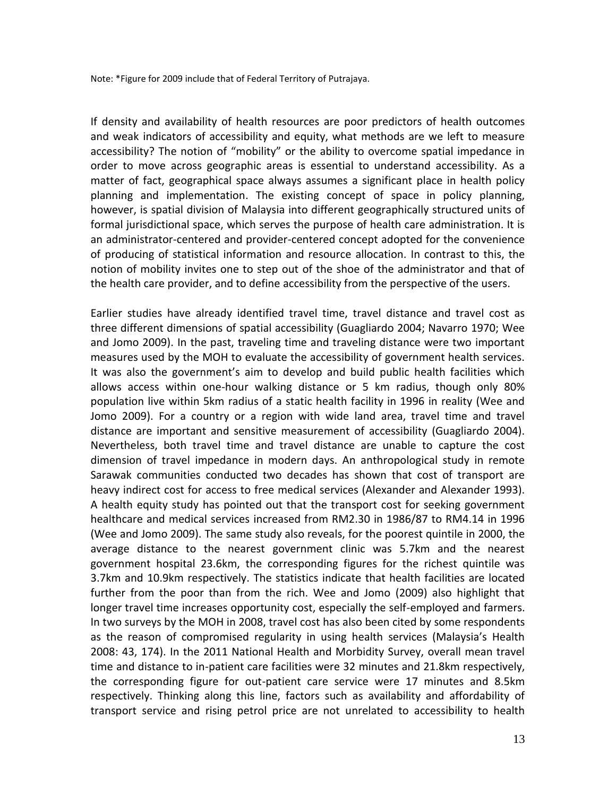Note: \*Figure for 2009 include that of Federal Territory of Putrajaya.

If density and availability of health resources are poor predictors of health outcomes and weak indicators of accessibility and equity, what methods are we left to measure accessibility? The notion of "mobility" or the ability to overcome spatial impedance in order to move across geographic areas is essential to understand accessibility. As a matter of fact, geographical space always assumes a significant place in health policy planning and implementation. The existing concept of space in policy planning, however, is spatial division of Malaysia into different geographically structured units of formal jurisdictional space, which serves the purpose of health care administration. It is an administrator-centered and provider-centered concept adopted for the convenience of producing of statistical information and resource allocation. In contrast to this, the notion of mobility invites one to step out of the shoe of the administrator and that of the health care provider, and to define accessibility from the perspective of the users.

Earlier studies have already identified travel time, travel distance and travel cost as three different dimensions of spatial accessibility (Guagliardo 2004; Navarro 1970; Wee and Jomo 2009). In the past, traveling time and traveling distance were two important measures used by the MOH to evaluate the accessibility of government health services. It was also the government's aim to develop and build public health facilities which allows access within one-hour walking distance or 5 km radius, though only 80% population live within 5km radius of a static health facility in 1996 in reality (Wee and Jomo 2009). For a country or a region with wide land area, travel time and travel distance are important and sensitive measurement of accessibility (Guagliardo 2004). Nevertheless, both travel time and travel distance are unable to capture the cost dimension of travel impedance in modern days. An anthropological study in remote Sarawak communities conducted two decades has shown that cost of transport are heavy indirect cost for access to free medical services (Alexander and Alexander 1993). A health equity study has pointed out that the transport cost for seeking government healthcare and medical services increased from RM2.30 in 1986/87 to RM4.14 in 1996 (Wee and Jomo 2009). The same study also reveals, for the poorest quintile in 2000, the average distance to the nearest government clinic was 5.7km and the nearest government hospital 23.6km, the corresponding figures for the richest quintile was 3.7km and 10.9km respectively. The statistics indicate that health facilities are located further from the poor than from the rich. Wee and Jomo (2009) also highlight that longer travel time increases opportunity cost, especially the self-employed and farmers. In two surveys by the MOH in 2008, travel cost has also been cited by some respondents as the reason of compromised regularity in using health services (Malaysia's Health 2008: 43, 174). In the 2011 National Health and Morbidity Survey, overall mean travel time and distance to in-patient care facilities were 32 minutes and 21.8km respectively, the corresponding figure for out-patient care service were 17 minutes and 8.5km respectively. Thinking along this line, factors such as availability and affordability of transport service and rising petrol price are not unrelated to accessibility to health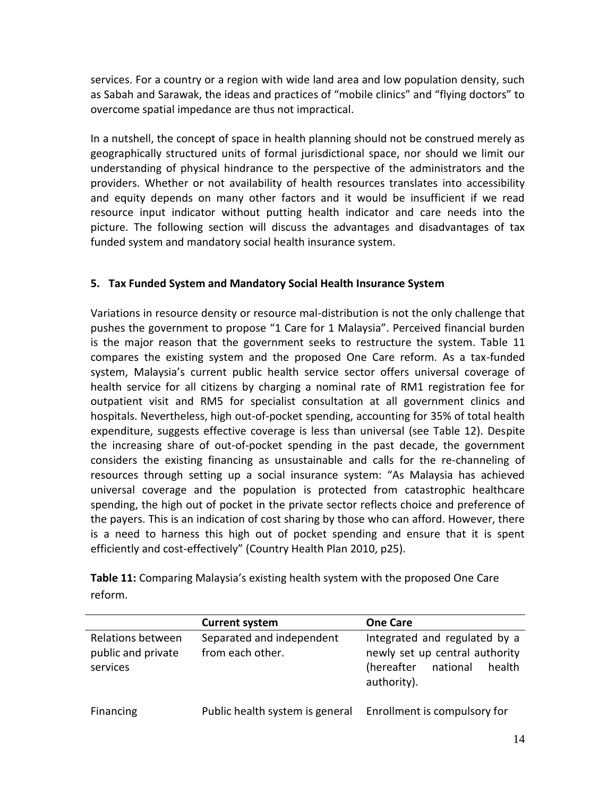services. For a country or a region with wide land area and low population density, such as Sabah and Sarawak, the ideas and practices of "mobile clinics" and "flying doctors" to overcome spatial impedance are thus not impractical.

In a nutshell, the concept of space in health planning should not be construed merely as geographically structured units of formal jurisdictional space, nor should we limit our understanding of physical hindrance to the perspective of the administrators and the providers. Whether or not availability of health resources translates into accessibility and equity depends on many other factors and it would be insufficient if we read resource input indicator without putting health indicator and care needs into the picture. The following section will discuss the advantages and disadvantages of tax funded system and mandatory social health insurance system.

### **5. Tax Funded System and Mandatory Social Health Insurance System**

Variations in resource density or resource mal-distribution is not the only challenge that pushes the government to propose "1 Care for 1 Malaysia". Perceived financial burden is the major reason that the government seeks to restructure the system. Table 11 compares the existing system and the proposed One Care reform. As a tax-funded system, Malaysia's current public health service sector offers universal coverage of health service for all citizens by charging a nominal rate of RM1 registration fee for outpatient visit and RM5 for specialist consultation at all government clinics and hospitals. Nevertheless, high out-of-pocket spending, accounting for 35% of total health expenditure, suggests effective coverage is less than universal (see Table 12). Despite the increasing share of out-of-pocket spending in the past decade, the government considers the existing financing as unsustainable and calls for the re-channeling of resources through setting up a social insurance system: "As Malaysia has achieved universal coverage and the population is protected from catastrophic healthcare spending, the high out of pocket in the private sector reflects choice and preference of the payers. This is an indication of cost sharing by those who can afford. However, there is a need to harness this high out of pocket spending and ensure that it is spent efficiently and cost-effectively" (Country Health Plan 2010, p25).

| Table 11: Comparing Malaysia's existing health system with the proposed One Care |
|----------------------------------------------------------------------------------|
| reform.                                                                          |

|                                                     | <b>Current system</b>                         | <b>One Care</b>                                                                                                    |  |  |  |  |  |
|-----------------------------------------------------|-----------------------------------------------|--------------------------------------------------------------------------------------------------------------------|--|--|--|--|--|
| Relations between<br>public and private<br>services | Separated and independent<br>from each other. | Integrated and regulated by a<br>newly set up central authority<br>(hereafter<br>health<br>national<br>authority). |  |  |  |  |  |
| Financing                                           | Public health system is general               | Enrollment is compulsory for                                                                                       |  |  |  |  |  |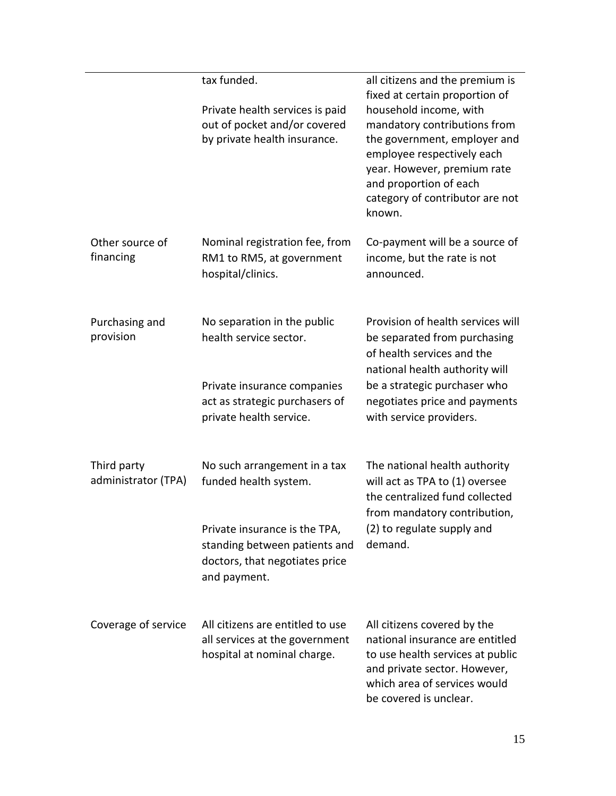|                                    | tax funded.<br>Private health services is paid<br>out of pocket and/or covered<br>by private health insurance.   | all citizens and the premium is<br>fixed at certain proportion of<br>household income, with<br>mandatory contributions from<br>the government, employer and<br>employee respectively each<br>year. However, premium rate<br>and proportion of each<br>category of contributor are not<br>known. |
|------------------------------------|------------------------------------------------------------------------------------------------------------------|-------------------------------------------------------------------------------------------------------------------------------------------------------------------------------------------------------------------------------------------------------------------------------------------------|
| Other source of<br>financing       | Nominal registration fee, from<br>RM1 to RM5, at government<br>hospital/clinics.                                 | Co-payment will be a source of<br>income, but the rate is not<br>announced.                                                                                                                                                                                                                     |
| Purchasing and<br>provision        | No separation in the public<br>health service sector.                                                            | Provision of health services will<br>be separated from purchasing<br>of health services and the<br>national health authority will                                                                                                                                                               |
|                                    | Private insurance companies<br>act as strategic purchasers of<br>private health service.                         | be a strategic purchaser who<br>negotiates price and payments<br>with service providers.                                                                                                                                                                                                        |
| Third party<br>administrator (TPA) | No such arrangement in a tax<br>funded health system.                                                            | The national health authority<br>will act as TPA to (1) oversee<br>the centralized fund collected<br>from mandatory contribution,                                                                                                                                                               |
|                                    | Private insurance is the TPA,<br>standing between patients and<br>doctors, that negotiates price<br>and payment. | (2) to regulate supply and<br>demand.                                                                                                                                                                                                                                                           |
| Coverage of service                | All citizens are entitled to use<br>all services at the government<br>hospital at nominal charge.                | All citizens covered by the<br>national insurance are entitled<br>to use health services at public<br>and private sector. However,<br>which area of services would<br>be covered is unclear.                                                                                                    |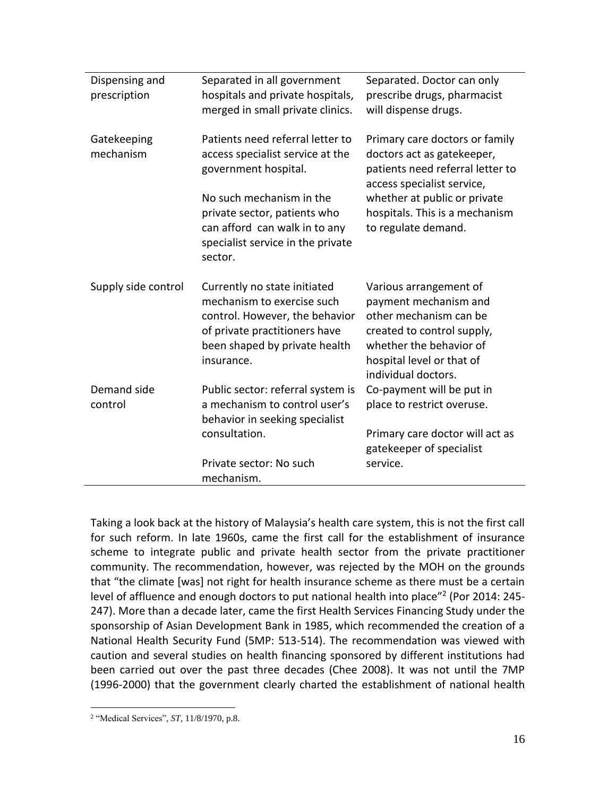| Dispensing and<br>prescription | Separated in all government<br>hospitals and private hospitals,<br>merged in small private clinics.                                                                          | Separated. Doctor can only<br>prescribe drugs, pharmacist<br>will dispense drugs.                                                                                                      |
|--------------------------------|------------------------------------------------------------------------------------------------------------------------------------------------------------------------------|----------------------------------------------------------------------------------------------------------------------------------------------------------------------------------------|
| Gatekeeping<br>mechanism       | Patients need referral letter to<br>access specialist service at the<br>government hospital.                                                                                 | Primary care doctors or family<br>doctors act as gatekeeper,<br>patients need referral letter to<br>access specialist service,                                                         |
|                                | No such mechanism in the<br>private sector, patients who<br>can afford can walk in to any<br>specialist service in the private<br>sector.                                    | whether at public or private<br>hospitals. This is a mechanism<br>to regulate demand.                                                                                                  |
| Supply side control            | Currently no state initiated<br>mechanism to exercise such<br>control. However, the behavior<br>of private practitioners have<br>been shaped by private health<br>insurance. | Various arrangement of<br>payment mechanism and<br>other mechanism can be<br>created to control supply,<br>whether the behavior of<br>hospital level or that of<br>individual doctors. |
| Demand side<br>control         | Public sector: referral system is<br>a mechanism to control user's<br>behavior in seeking specialist                                                                         | Co-payment will be put in<br>place to restrict overuse.                                                                                                                                |
|                                | consultation.                                                                                                                                                                | Primary care doctor will act as<br>gatekeeper of specialist                                                                                                                            |
|                                | Private sector: No such<br>mechanism.                                                                                                                                        | service.                                                                                                                                                                               |

Taking a look back at the history of Malaysia's health care system, this is not the first call for such reform. In late 1960s, came the first call for the establishment of insurance scheme to integrate public and private health sector from the private practitioner community. The recommendation, however, was rejected by the MOH on the grounds that "the climate [was] not right for health insurance scheme as there must be a certain level of affluence and enough doctors to put national health into place"<sup>2</sup> (Por 2014: 245-247). More than a decade later, came the first Health Services Financing Study under the sponsorship of Asian Development Bank in 1985, which recommended the creation of a National Health Security Fund (5MP: 513-514). The recommendation was viewed with caution and several studies on health financing sponsored by different institutions had been carried out over the past three decades (Chee 2008). It was not until the 7MP (1996-2000) that the government clearly charted the establishment of national health

 $\overline{a}$ 2 "Medical Services", *ST*, 11/8/1970, p.8.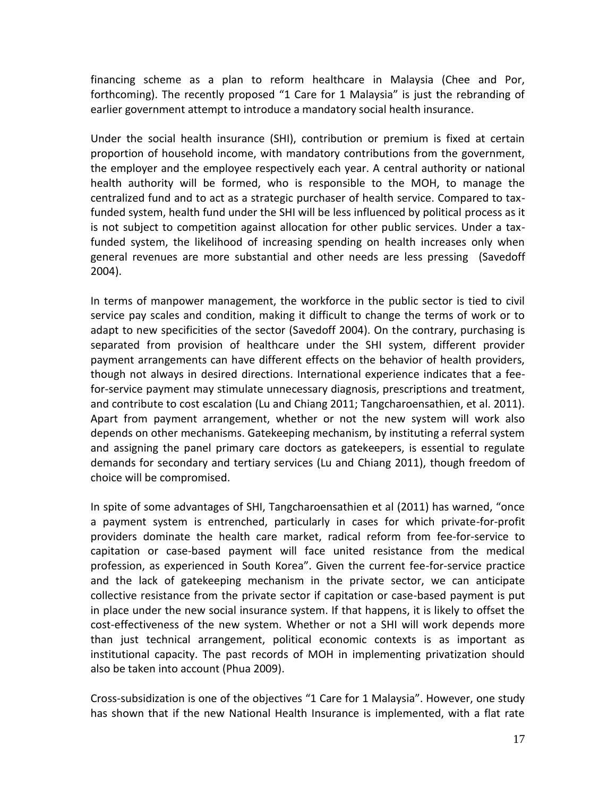financing scheme as a plan to reform healthcare in Malaysia (Chee and Por, forthcoming). The recently proposed "1 Care for 1 Malaysia" is just the rebranding of earlier government attempt to introduce a mandatory social health insurance.

Under the social health insurance (SHI), contribution or premium is fixed at certain proportion of household income, with mandatory contributions from the government, the employer and the employee respectively each year. A central authority or national health authority will be formed, who is responsible to the MOH, to manage the centralized fund and to act as a strategic purchaser of health service. Compared to taxfunded system, health fund under the SHI will be less influenced by political process as it is not subject to competition against allocation for other public services. Under a taxfunded system, the likelihood of increasing spending on health increases only when general revenues are more substantial and other needs are less pressing (Savedoff 2004).

In terms of manpower management, the workforce in the public sector is tied to civil service pay scales and condition, making it difficult to change the terms of work or to adapt to new specificities of the sector (Savedoff 2004). On the contrary, purchasing is separated from provision of healthcare under the SHI system, different provider payment arrangements can have different effects on the behavior of health providers, though not always in desired directions. International experience indicates that a feefor-service payment may stimulate unnecessary diagnosis, prescriptions and treatment, and contribute to cost escalation (Lu and Chiang 2011; Tangcharoensathien, et al. 2011). Apart from payment arrangement, whether or not the new system will work also depends on other mechanisms. Gatekeeping mechanism, by instituting a referral system and assigning the panel primary care doctors as gatekeepers, is essential to regulate demands for secondary and tertiary services (Lu and Chiang 2011), though freedom of choice will be compromised.

In spite of some advantages of SHI, Tangcharoensathien et al (2011) has warned, "once a payment system is entrenched, particularly in cases for which private-for-profit providers dominate the health care market, radical reform from fee-for-service to capitation or case-based payment will face united resistance from the medical profession, as experienced in South Korea". Given the current fee-for-service practice and the lack of gatekeeping mechanism in the private sector, we can anticipate collective resistance from the private sector if capitation or case-based payment is put in place under the new social insurance system. If that happens, it is likely to offset the cost-effectiveness of the new system. Whether or not a SHI will work depends more than just technical arrangement, political economic contexts is as important as institutional capacity. The past records of MOH in implementing privatization should also be taken into account (Phua 2009).

Cross-subsidization is one of the objectives "1 Care for 1 Malaysia". However, one study has shown that if the new National Health Insurance is implemented, with a flat rate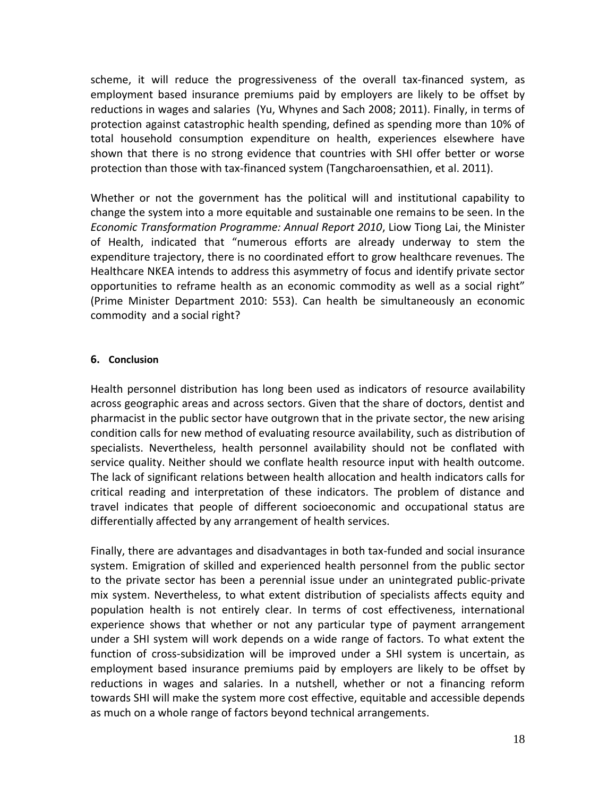scheme, it will reduce the progressiveness of the overall tax-financed system, as employment based insurance premiums paid by employers are likely to be offset by reductions in wages and salaries (Yu, Whynes and Sach 2008; 2011). Finally, in terms of protection against catastrophic health spending, defined as spending more than 10% of total household consumption expenditure on health, experiences elsewhere have shown that there is no strong evidence that countries with SHI offer better or worse protection than those with tax-financed system (Tangcharoensathien, et al. 2011).

Whether or not the government has the political will and institutional capability to change the system into a more equitable and sustainable one remains to be seen. In the *Economic Transformation Programme: Annual Report 2010*, Liow Tiong Lai, the Minister of Health, indicated that "numerous efforts are already underway to stem the expenditure trajectory, there is no coordinated effort to grow healthcare revenues. The Healthcare NKEA intends to address this asymmetry of focus and identify private sector opportunities to reframe health as an economic commodity as well as a social right" (Prime Minister Department 2010: 553). Can health be simultaneously an economic commodity and a social right?

### **6. Conclusion**

Health personnel distribution has long been used as indicators of resource availability across geographic areas and across sectors. Given that the share of doctors, dentist and pharmacist in the public sector have outgrown that in the private sector, the new arising condition calls for new method of evaluating resource availability, such as distribution of specialists. Nevertheless, health personnel availability should not be conflated with service quality. Neither should we conflate health resource input with health outcome. The lack of significant relations between health allocation and health indicators calls for critical reading and interpretation of these indicators. The problem of distance and travel indicates that people of different socioeconomic and occupational status are differentially affected by any arrangement of health services.

Finally, there are advantages and disadvantages in both tax-funded and social insurance system. Emigration of skilled and experienced health personnel from the public sector to the private sector has been a perennial issue under an unintegrated public-private mix system. Nevertheless, to what extent distribution of specialists affects equity and population health is not entirely clear. In terms of cost effectiveness, international experience shows that whether or not any particular type of payment arrangement under a SHI system will work depends on a wide range of factors. To what extent the function of cross-subsidization will be improved under a SHI system is uncertain, as employment based insurance premiums paid by employers are likely to be offset by reductions in wages and salaries. In a nutshell, whether or not a financing reform towards SHI will make the system more cost effective, equitable and accessible depends as much on a whole range of factors beyond technical arrangements.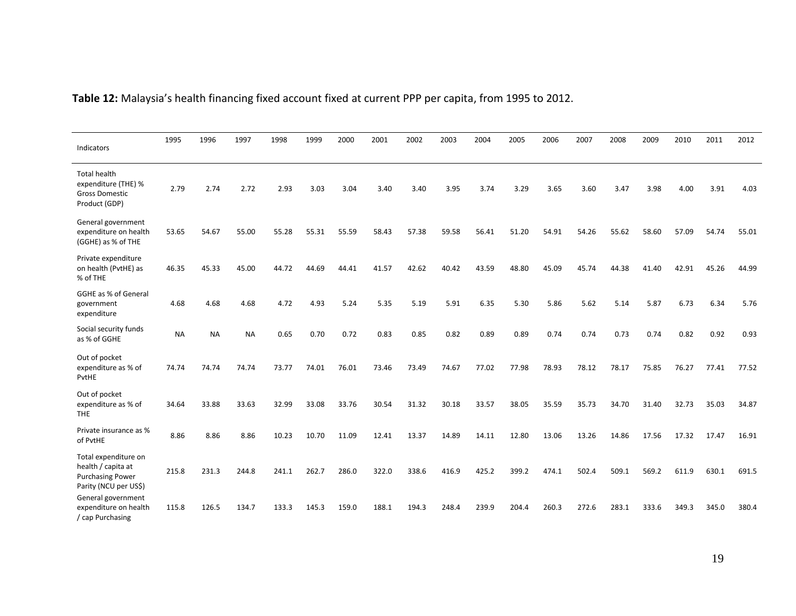| Indicators                                                                                     | 1995      | 1996      | 1997      | 1998  | 1999  | 2000  | 2001  | 2002  | 2003  | 2004  | 2005  | 2006  | 2007  | 2008  | 2009  | 2010  | 2011  | 2012  |
|------------------------------------------------------------------------------------------------|-----------|-----------|-----------|-------|-------|-------|-------|-------|-------|-------|-------|-------|-------|-------|-------|-------|-------|-------|
| <b>Total health</b><br>expenditure (THE) %<br><b>Gross Domestic</b><br>Product (GDP)           | 2.79      | 2.74      | 2.72      | 2.93  | 3.03  | 3.04  | 3.40  | 3.40  | 3.95  | 3.74  | 3.29  | 3.65  | 3.60  | 3.47  | 3.98  | 4.00  | 3.91  | 4.03  |
| General government<br>expenditure on health<br>(GGHE) as % of THE                              | 53.65     | 54.67     | 55.00     | 55.28 | 55.31 | 55.59 | 58.43 | 57.38 | 59.58 | 56.41 | 51.20 | 54.91 | 54.26 | 55.62 | 58.60 | 57.09 | 54.74 | 55.01 |
| Private expenditure<br>on health (PvtHE) as<br>% of THE                                        | 46.35     | 45.33     | 45.00     | 44.72 | 44.69 | 44.41 | 41.57 | 42.62 | 40.42 | 43.59 | 48.80 | 45.09 | 45.74 | 44.38 | 41.40 | 42.91 | 45.26 | 44.99 |
| <b>GGHE as % of General</b><br>government<br>expenditure                                       | 4.68      | 4.68      | 4.68      | 4.72  | 4.93  | 5.24  | 5.35  | 5.19  | 5.91  | 6.35  | 5.30  | 5.86  | 5.62  | 5.14  | 5.87  | 6.73  | 6.34  | 5.76  |
| Social security funds<br>as % of GGHE                                                          | <b>NA</b> | <b>NA</b> | <b>NA</b> | 0.65  | 0.70  | 0.72  | 0.83  | 0.85  | 0.82  | 0.89  | 0.89  | 0.74  | 0.74  | 0.73  | 0.74  | 0.82  | 0.92  | 0.93  |
| Out of pocket<br>expenditure as % of<br>PvtHE                                                  | 74.74     | 74.74     | 74.74     | 73.77 | 74.01 | 76.01 | 73.46 | 73.49 | 74.67 | 77.02 | 77.98 | 78.93 | 78.12 | 78.17 | 75.85 | 76.27 | 77.41 | 77.52 |
| Out of pocket<br>expenditure as % of<br><b>THE</b>                                             | 34.64     | 33.88     | 33.63     | 32.99 | 33.08 | 33.76 | 30.54 | 31.32 | 30.18 | 33.57 | 38.05 | 35.59 | 35.73 | 34.70 | 31.40 | 32.73 | 35.03 | 34.87 |
| Private insurance as %<br>of PvtHE                                                             | 8.86      | 8.86      | 8.86      | 10.23 | 10.70 | 11.09 | 12.41 | 13.37 | 14.89 | 14.11 | 12.80 | 13.06 | 13.26 | 14.86 | 17.56 | 17.32 | 17.47 | 16.91 |
| Total expenditure on<br>health / capita at<br><b>Purchasing Power</b><br>Parity (NCU per US\$) | 215.8     | 231.3     | 244.8     | 241.1 | 262.7 | 286.0 | 322.0 | 338.6 | 416.9 | 425.2 | 399.2 | 474.1 | 502.4 | 509.1 | 569.2 | 611.9 | 630.1 | 691.5 |
| General government<br>expenditure on health<br>/ cap Purchasing                                | 115.8     | 126.5     | 134.7     | 133.3 | 145.3 | 159.0 | 188.1 | 194.3 | 248.4 | 239.9 | 204.4 | 260.3 | 272.6 | 283.1 | 333.6 | 349.3 | 345.0 | 380.4 |

# **Table 12:** Malaysia's health financing fixed account fixed at current PPP per capita, from 1995 to 2012.

19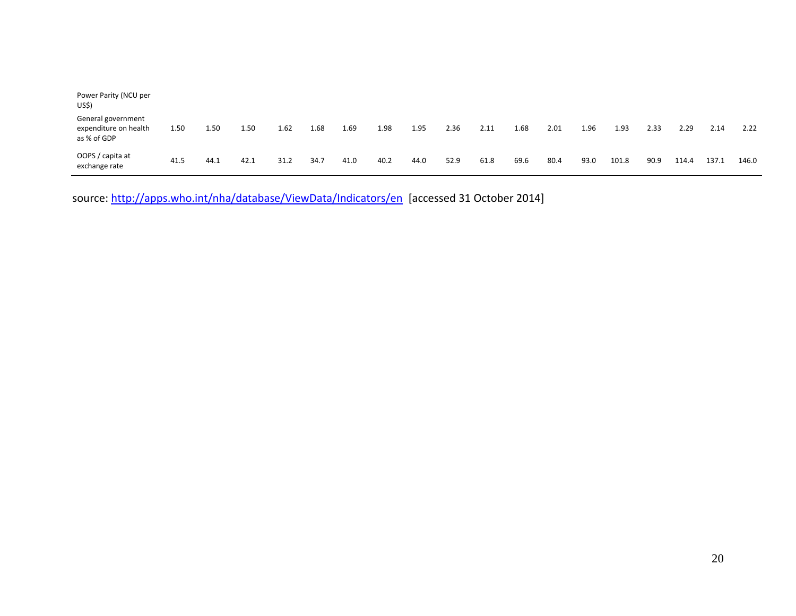| Power Parity (NCU per<br>US\$)                             |      |      |      |      |      |      |      |      |      |      |      |      |      |       |      |       |       |       |
|------------------------------------------------------------|------|------|------|------|------|------|------|------|------|------|------|------|------|-------|------|-------|-------|-------|
| General government<br>expenditure on health<br>as % of GDP | 1.50 | 1.50 | 1.50 | 1.62 | 1.68 | 1.69 | 1.98 | 1.95 | 2.36 | 2.11 | 1.68 | 2.01 | 1.96 | 1.93  | 2.33 | 2.29  | 2.14  | 2.22  |
| OOPS / capita at<br>exchange rate                          | 41.5 | 44.1 | 42.1 | 31.2 | 34.7 | 41.0 | 40.2 | 44.0 | 52.9 | 61.8 | 69.6 | 80.4 | 93.0 | 101.8 | 90.9 | 114.4 | 137.1 | 146.0 |

source:<http://apps.who.int/nha/database/ViewData/Indicators/en>[accessed 31 October 2014]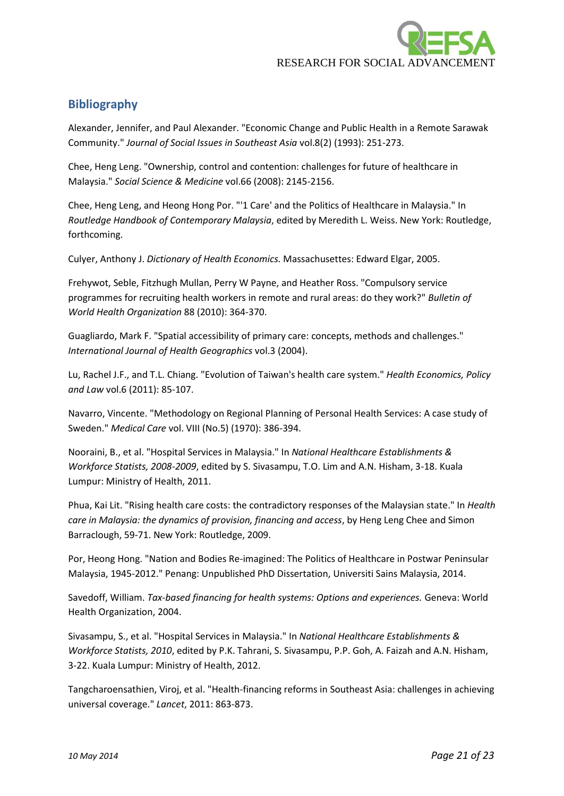

# **Bibliography**

Alexander, Jennifer, and Paul Alexander. "Economic Change and Public Health in a Remote Sarawak Community." *Journal of Social Issues in Southeast Asia* vol.8(2) (1993): 251-273.

Chee, Heng Leng. "Ownership, control and contention: challenges for future of healthcare in Malaysia." *Social Science & Medicine* vol.66 (2008): 2145-2156.

Chee, Heng Leng, and Heong Hong Por. "'1 Care' and the Politics of Healthcare in Malaysia." In *Routledge Handbook of Contemporary Malaysia*, edited by Meredith L. Weiss. New York: Routledge, forthcoming.

Culyer, Anthony J. *Dictionary of Health Economics.* Massachusettes: Edward Elgar, 2005.

Frehywot, Seble, Fitzhugh Mullan, Perry W Payne, and Heather Ross. "Compulsory service programmes for recruiting health workers in remote and rural areas: do they work?" *Bulletin of World Health Organization* 88 (2010): 364-370.

Guagliardo, Mark F. "Spatial accessibility of primary care: concepts, methods and challenges." *International Journal of Health Geographics* vol.3 (2004).

Lu, Rachel J.F., and T.L. Chiang. "Evolution of Taiwan's health care system." *Health Economics, Policy and Law* vol.6 (2011): 85-107.

Navarro, Vincente. "Methodology on Regional Planning of Personal Health Services: A case study of Sweden." *Medical Care* vol. VIII (No.5) (1970): 386-394.

Nooraini, B., et al. "Hospital Services in Malaysia." In *National Healthcare Establishments & Workforce Statists, 2008-2009*, edited by S. Sivasampu, T.O. Lim and A.N. Hisham, 3-18. Kuala Lumpur: Ministry of Health, 2011.

Phua, Kai Lit. "Rising health care costs: the contradictory responses of the Malaysian state." In *Health care in Malaysia: the dynamics of provision, financing and access*, by Heng Leng Chee and Simon Barraclough, 59-71. New York: Routledge, 2009.

Por, Heong Hong. "Nation and Bodies Re-imagined: The Politics of Healthcare in Postwar Peninsular Malaysia, 1945-2012." Penang: Unpublished PhD Dissertation, Universiti Sains Malaysia, 2014.

Savedoff, William. *Tax-based financing for health systems: Options and experiences.* Geneva: World Health Organization, 2004.

Sivasampu, S., et al. "Hospital Services in Malaysia." In *National Healthcare Establishments & Workforce Statists, 2010*, edited by P.K. Tahrani, S. Sivasampu, P.P. Goh, A. Faizah and A.N. Hisham, 3-22. Kuala Lumpur: Ministry of Health, 2012.

Tangcharoensathien, Viroj, et al. "Health-financing reforms in Southeast Asia: challenges in achieving universal coverage." *Lancet*, 2011: 863-873.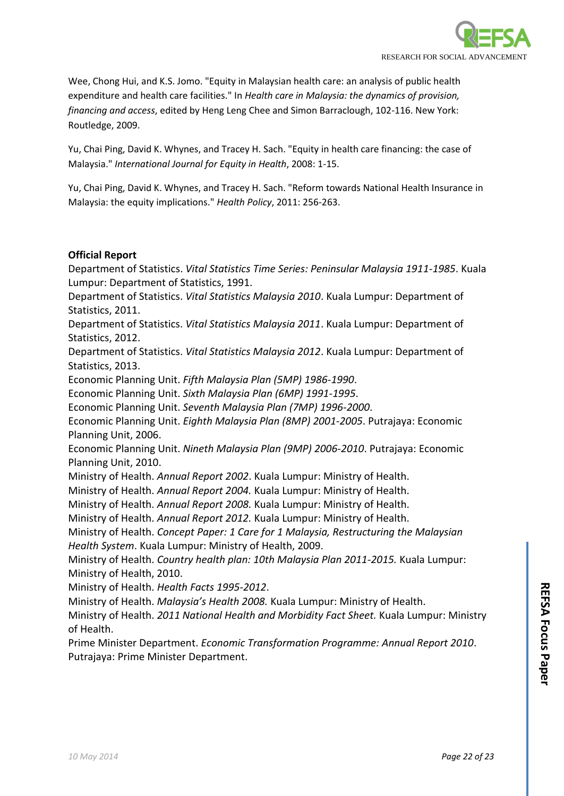

Wee, Chong Hui, and K.S. Jomo. "Equity in Malaysian health care: an analysis of public health expenditure and health care facilities." In *Health care in Malaysia: the dynamics of provision, financing and access*, edited by Heng Leng Chee and Simon Barraclough, 102-116. New York: Routledge, 2009.

Yu, Chai Ping, David K. Whynes, and Tracey H. Sach. "Equity in health care financing: the case of Malaysia." *International Journal for Equity in Health*, 2008: 1-15.

Yu, Chai Ping, David K. Whynes, and Tracey H. Sach. "Reform towards National Health Insurance in Malaysia: the equity implications." *Health Policy*, 2011: 256-263.

### **Official Report**

Department of Statistics. *Vital Statistics Time Series: Peninsular Malaysia 1911-1985*. Kuala Lumpur: Department of Statistics, 1991.

Department of Statistics. *Vital Statistics Malaysia 2010*. Kuala Lumpur: Department of Statistics, 2011.

Department of Statistics. *Vital Statistics Malaysia 2011*. Kuala Lumpur: Department of Statistics, 2012.

Department of Statistics. *Vital Statistics Malaysia 2012*. Kuala Lumpur: Department of Statistics, 2013.

Economic Planning Unit. *Fifth Malaysia Plan (5MP) 1986-1990*.

Economic Planning Unit. *Sixth Malaysia Plan (6MP) 1991-1995*.

Economic Planning Unit. *Seventh Malaysia Plan (7MP) 1996-2000*.

Economic Planning Unit. *Eighth Malaysia Plan (8MP) 2001-2005*. Putrajaya: Economic Planning Unit, 2006.

Economic Planning Unit. *Nineth Malaysia Plan (9MP) 2006-2010*. Putrajaya: Economic Planning Unit, 2010.

Ministry of Health. *Annual Report 2002*. Kuala Lumpur: Ministry of Health.

Ministry of Health. *Annual Report 2004.* Kuala Lumpur: Ministry of Health.

Ministry of Health. *Annual Report 2008.* Kuala Lumpur: Ministry of Health.

Ministry of Health. *Annual Report 2012.* Kuala Lumpur: Ministry of Health.

Ministry of Health. *Concept Paper: 1 Care for 1 Malaysia, Restructuring the Malaysian Health System*. Kuala Lumpur: Ministry of Health, 2009.

Ministry of Health. *Country health plan: 10th Malaysia Plan 2011-2015.* Kuala Lumpur: Ministry of Health, 2010.

Ministry of Health. *Health Facts 1995-2012*.

Ministry of Health. *Malaysia's Health 2008.* Kuala Lumpur: Ministry of Health.

Ministry of Health. *2011 National Health and Morbidity Fact Sheet.* Kuala Lumpur: Ministry of Health.

Prime Minister Department. *Economic Transformation Programme: Annual Report 2010*. Putrajaya: Prime Minister Department.